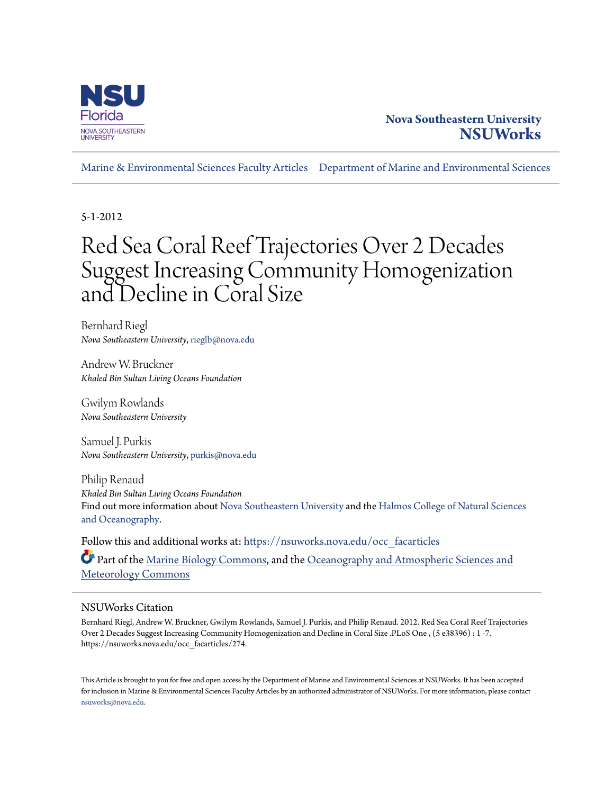

## **Nova Southeastern University [NSUWorks](https://nsuworks.nova.edu?utm_source=nsuworks.nova.edu%2Focc_facarticles%2F274&utm_medium=PDF&utm_campaign=PDFCoverPages)**

[Marine & Environmental Sciences Faculty Articles](https://nsuworks.nova.edu/occ_facarticles?utm_source=nsuworks.nova.edu%2Focc_facarticles%2F274&utm_medium=PDF&utm_campaign=PDFCoverPages) [Department of Marine and Environmental Sciences](https://nsuworks.nova.edu/cnso_mes?utm_source=nsuworks.nova.edu%2Focc_facarticles%2F274&utm_medium=PDF&utm_campaign=PDFCoverPages)

5-1-2012

# Red Sea Coral Reef Trajectories Over 2 Decades Suggest Increasing Community Homogenization and Decline in Coral Size

Bernhard Riegl *Nova Southeastern University*, rieglb@nova.edu

Andrew W. Bruckner *Khaled Bin Sultan Living Oceans Foundation*

Gwilym Rowlands *Nova Southeastern University*

Samuel J. Purkis *Nova Southeastern University*, purkis@nova.edu

Philip Renaud *Khaled Bin Sultan Living Oceans Foundation* Find out more information about [Nova Southeastern University](http://www.nova.edu/) and the [Halmos College of Natural Sciences](https://cnso.nova.edu) [and Oceanography.](https://cnso.nova.edu)

Follow this and additional works at: [https://nsuworks.nova.edu/occ\\_facarticles](https://nsuworks.nova.edu/occ_facarticles?utm_source=nsuworks.nova.edu%2Focc_facarticles%2F274&utm_medium=PDF&utm_campaign=PDFCoverPages)

Part of the [Marine Biology Commons,](http://network.bepress.com/hgg/discipline/1126?utm_source=nsuworks.nova.edu%2Focc_facarticles%2F274&utm_medium=PDF&utm_campaign=PDFCoverPages) and the [Oceanography and Atmospheric Sciences and](http://network.bepress.com/hgg/discipline/186?utm_source=nsuworks.nova.edu%2Focc_facarticles%2F274&utm_medium=PDF&utm_campaign=PDFCoverPages) [Meteorology Commons](http://network.bepress.com/hgg/discipline/186?utm_source=nsuworks.nova.edu%2Focc_facarticles%2F274&utm_medium=PDF&utm_campaign=PDFCoverPages)

### NSUWorks Citation

Bernhard Riegl, Andrew W. Bruckner, Gwilym Rowlands, Samuel J. Purkis, and Philip Renaud. 2012. Red Sea Coral Reef Trajectories Over 2 Decades Suggest Increasing Community Homogenization and Decline in Coral Size .PLoS One , (5 e38396) : 1 -7. https://nsuworks.nova.edu/occ\_facarticles/274.

This Article is brought to you for free and open access by the Department of Marine and Environmental Sciences at NSUWorks. It has been accepted for inclusion in Marine & Environmental Sciences Faculty Articles by an authorized administrator of NSUWorks. For more information, please contact [nsuworks@nova.edu.](mailto:nsuworks@nova.edu)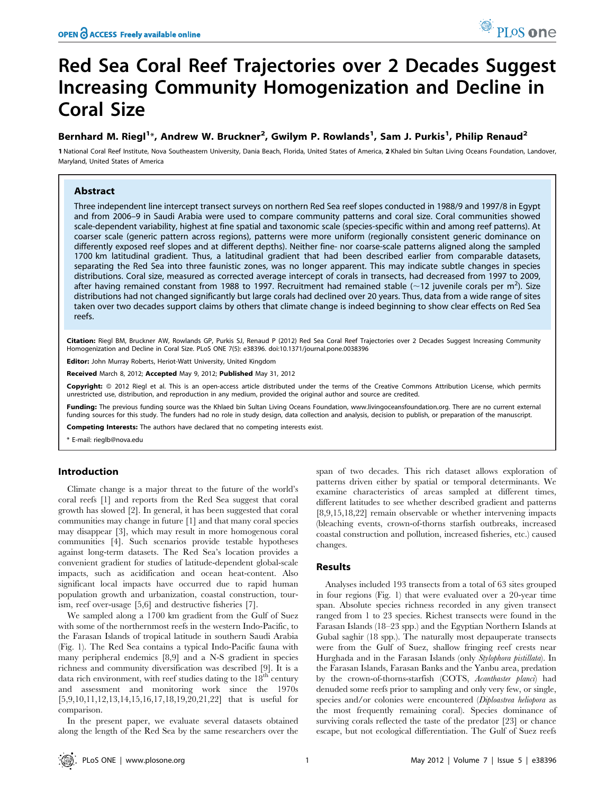## Red Sea Coral Reef Trajectories over 2 Decades Suggest Increasing Community Homogenization and Decline in Coral Size

### Bernhard M. Riegl<sup>1</sup>\*, Andrew W. Bruckner<sup>2</sup>, Gwilym P. Rowlands<sup>1</sup>, Sam J. Purkis<sup>1</sup>, Philip Renaud<sup>2</sup>

1 National Coral Reef Institute, Nova Southeastern University, Dania Beach, Florida, United States of America, 2 Khaled bin Sultan Living Oceans Foundation, Landover, Maryland, United States of America

#### Abstract

Three independent line intercept transect surveys on northern Red Sea reef slopes conducted in 1988/9 and 1997/8 in Egypt and from 2006–9 in Saudi Arabia were used to compare community patterns and coral size. Coral communities showed scale-dependent variability, highest at fine spatial and taxonomic scale (species-specific within and among reef patterns). At coarser scale (generic pattern across regions), patterns were more uniform (regionally consistent generic dominance on differently exposed reef slopes and at different depths). Neither fine- nor coarse-scale patterns aligned along the sampled 1700 km latitudinal gradient. Thus, a latitudinal gradient that had been described earlier from comparable datasets, separating the Red Sea into three faunistic zones, was no longer apparent. This may indicate subtle changes in species distributions. Coral size, measured as corrected average intercept of corals in transects, had decreased from 1997 to 2009, after having remained constant from 1988 to 1997. Recruitment had remained stable (~12 juvenile corals per m<sup>2</sup>). Size distributions had not changed significantly but large corals had declined over 20 years. Thus, data from a wide range of sites taken over two decades support claims by others that climate change is indeed beginning to show clear effects on Red Sea reefs.

Citation: Riegl BM, Bruckner AW, Rowlands GP, Purkis SJ, Renaud P (2012) Red Sea Coral Reef Trajectories over 2 Decades Suggest Increasing Community Homogenization and Decline in Coral Size. PLoS ONE 7(5): e38396. doi:10.1371/journal.pone.0038396

Editor: John Murray Roberts, Heriot-Watt University, United Kingdom

Received March 8, 2012; Accepted May 9, 2012; Published May 31, 2012

Copyright: © 2012 Riegl et al. This is an open-access article distributed under the terms of the Creative Commons Attribution License, which permits unrestricted use, distribution, and reproduction in any medium, provided the original author and source are credited.

Funding: The previous funding source was the Khlaed bin Sultan Living Oceans Foundation, www.livingoceansfoundation.org. There are no current external funding sources for this study. The funders had no role in study design, data collection and analysis, decision to publish, or preparation of the manuscript.

Competing Interests: The authors have declared that no competing interests exist.

\* E-mail: rieglb@nova.edu

#### Introduction

Climate change is a major threat to the future of the world's coral reefs [1] and reports from the Red Sea suggest that coral growth has slowed [2]. In general, it has been suggested that coral communities may change in future [1] and that many coral species may disappear [3], which may result in more homogenous coral communities [4]. Such scenarios provide testable hypotheses against long-term datasets. The Red Sea's location provides a convenient gradient for studies of latitude-dependent global-scale impacts, such as acidification and ocean heat-content. Also significant local impacts have occurred due to rapid human population growth and urbanization, coastal construction, tourism, reef over-usage [5,6] and destructive fisheries [7].

We sampled along a 1700 km gradient from the Gulf of Suez with some of the northernmost reefs in the western Indo-Pacific, to the Farasan Islands of tropical latitude in southern Saudi Arabia (Fig. 1). The Red Sea contains a typical Indo-Pacific fauna with many peripheral endemics [8,9] and a N-S gradient in species richness and community diversification was described [9]. It is a data rich environment, with reef studies dating to the  $18<sup>th</sup>$  century and assessment and monitoring work since the 1970s [5,9,10,11,12,13,14,15,16,17,18,19,20,21,22] that is useful for comparison.

In the present paper, we evaluate several datasets obtained along the length of the Red Sea by the same researchers over the span of two decades. This rich dataset allows exploration of patterns driven either by spatial or temporal determinants. We examine characteristics of areas sampled at different times, different latitudes to see whether described gradient and patterns [8,9,15,18,22] remain observable or whether intervening impacts (bleaching events, crown-of-thorns starfish outbreaks, increased coastal construction and pollution, increased fisheries, etc.) caused changes.

#### Results

Analyses included 193 transects from a total of 63 sites grouped in four regions (Fig. 1) that were evaluated over a 20-year time span. Absolute species richness recorded in any given transect ranged from 1 to 23 species. Richest transects were found in the Farasan Islands (18–23 spp.) and the Egyptian Northern Islands at Gubal saghir (18 spp.). The naturally most depauperate transects were from the Gulf of Suez, shallow fringing reef crests near Hurghada and in the Farasan Islands (only Stylophora pistillata). In the Farasan Islands, Farasan Banks and the Yanbu area, predation by the crown-of-thorns-starfish (COTS, Acanthaster planci) had denuded some reefs prior to sampling and only very few, or single, species and/or colonies were encountered (Diploastrea heliopora as the most frequently remaining coral). Species dominance of surviving corals reflected the taste of the predator [23] or chance escape, but not ecological differentiation. The Gulf of Suez reefs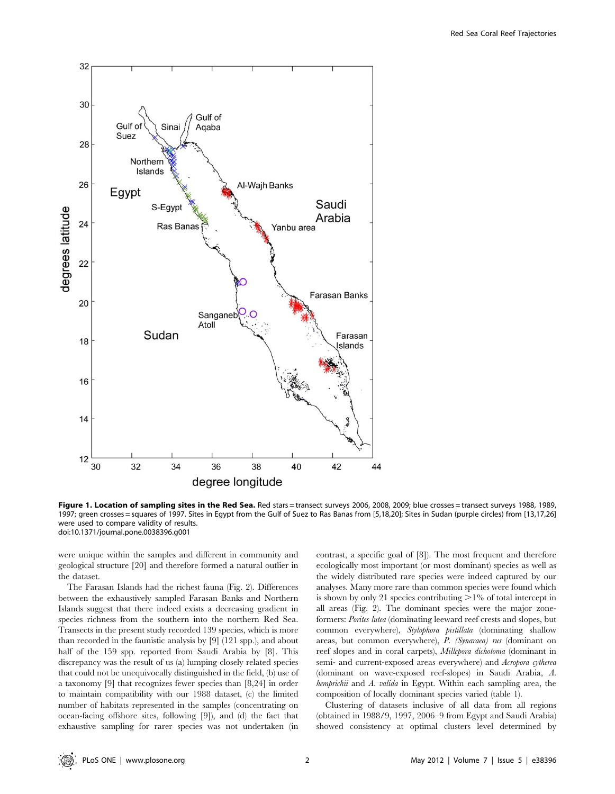

Figure 1. Location of sampling sites in the Red Sea. Red stars = transect surveys 2006, 2008, 2009; blue crosses = transect surveys 1988, 1989, 1997; green crosses = squares of 1997. Sites in Egypt from the Gulf of Suez to Ras Banas from [5,18,20]; Sites in Sudan (purple circles) from [13,17,26] were used to compare validity of results. doi:10.1371/journal.pone.0038396.g001

were unique within the samples and different in community and geological structure [20] and therefore formed a natural outlier in the dataset.

The Farasan Islands had the richest fauna (Fig. 2). Differences between the exhaustively sampled Farasan Banks and Northern Islands suggest that there indeed exists a decreasing gradient in species richness from the southern into the northern Red Sea. Transects in the present study recorded 139 species, which is more than recorded in the faunistic analysis by [9] (121 spp.), and about half of the 159 spp. reported from Saudi Arabia by [8]. This discrepancy was the result of us (a) lumping closely related species that could not be unequivocally distinguished in the field, (b) use of a taxonomy [9] that recognizes fewer species than [8,24] in order to maintain compatibility with our 1988 dataset, (c) the limited number of habitats represented in the samples (concentrating on ocean-facing offshore sites, following [9]), and (d) the fact that exhaustive sampling for rarer species was not undertaken (in contrast, a specific goal of [8]). The most frequent and therefore ecologically most important (or most dominant) species as well as the widely distributed rare species were indeed captured by our analyses. Many more rare than common species were found which is shown by only 21 species contributing  $>1\%$  of total intercept in all areas (Fig. 2). The dominant species were the major zoneformers: Porites lutea (dominating leeward reef crests and slopes, but common everywhere), Stylophora pistillata (dominating shallow areas, but common everywhere), P. (Synaraea) rus (dominant on reef slopes and in coral carpets), Millepora dichotoma (dominant in semi- and current-exposed areas everywhere) and Acropora cytherea (dominant on wave-exposed reef-slopes) in Saudi Arabia, A. hemprichii and A. valida in Egypt. Within each sampling area, the composition of locally dominant species varied (table 1).

Clustering of datasets inclusive of all data from all regions (obtained in 1988/9, 1997, 2006–9 from Egypt and Saudi Arabia) showed consistency at optimal clusters level determined by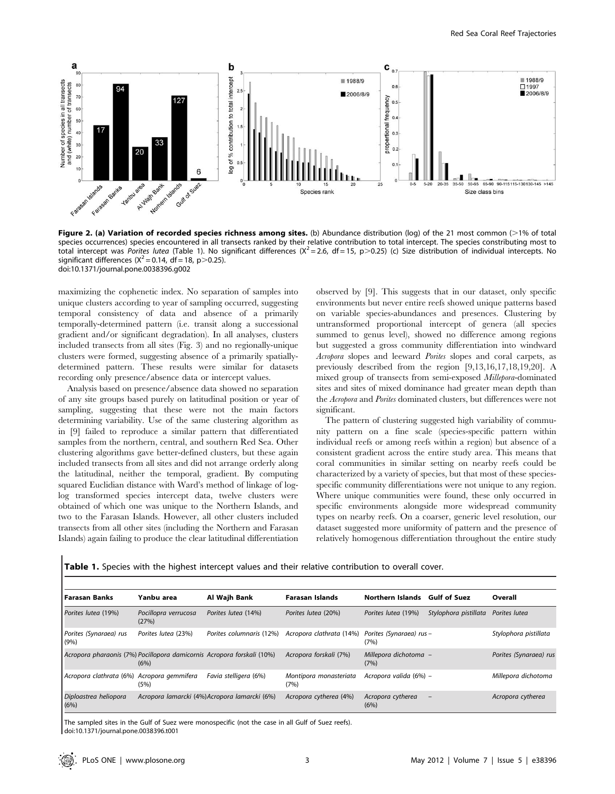

Figure 2. (a) Variation of recorded species richness among sites. (b) Abundance distribution (log) of the 21 most common  $(>1\%$  of total species occurrences) species encountered in all transects ranked by their relative contribution to total intercept. The species constributing most to total intercept was Porites lutea (Table 1). No significant differences ( $X^2 = 2.6$ , df = 15, p>0.25) (c) Size distribution of individual intercepts. No significant differences ( $X^2$  = 0.14, df = 18, p $>$ 0.25). doi:10.1371/journal.pone.0038396.g002

maximizing the cophenetic index. No separation of samples into unique clusters according to year of sampling occurred, suggesting temporal consistency of data and absence of a primarily temporally-determined pattern (i.e. transit along a successional gradient and/or significant degradation). In all analyses, clusters included transects from all sites (Fig. 3) and no regionally-unique clusters were formed, suggesting absence of a primarily spatiallydetermined pattern. These results were similar for datasets recording only presence/absence data or intercept values.

Analysis based on presence/absence data showed no separation of any site groups based purely on latitudinal position or year of sampling, suggesting that these were not the main factors determining variability. Use of the same clustering algorithm as in [9] failed to reproduce a similar pattern that differentiated samples from the northern, central, and southern Red Sea. Other clustering algorithms gave better-defined clusters, but these again included transects from all sites and did not arrange orderly along the latitudinal, neither the temporal, gradient. By computing squared Euclidian distance with Ward's method of linkage of loglog transformed species intercept data, twelve clusters were obtained of which one was unique to the Northern Islands, and two to the Farasan Islands. However, all other clusters included transects from all other sites (including the Northern and Farasan Islands) again failing to produce the clear latitudinal differentiation observed by [9]. This suggests that in our dataset, only specific environments but never entire reefs showed unique patterns based on variable species-abundances and presences. Clustering by untransformed proportional intercept of genera (all species summed to genus level), showed no difference among regions but suggested a gross community differentiation into windward Acropora slopes and leeward Porites slopes and coral carpets, as previously described from the region [9,13,16,17,18,19,20]. A mixed group of transects from semi-exposed Millepora-dominated sites and sites of mixed dominance had greater mean depth than the Acropora and Porites dominated clusters, but differences were not significant.

The pattern of clustering suggested high variability of community pattern on a fine scale (species-specific pattern within individual reefs or among reefs within a region) but absence of a consistent gradient across the entire study area. This means that coral communities in similar setting on nearby reefs could be characterized by a variety of species, but that most of these speciesspecific community differentiations were not unique to any region. Where unique communities were found, these only occurred in specific environments alongside more widespread community types on nearby reefs. On a coarser, generic level resolution, our dataset suggested more uniformity of pattern and the presence of relatively homogenous differentiation throughout the entire study

Table 1. Species with the highest intercept values and their relative contribution to overall cover.

| l Farasan Banks                                                        | Yanbu area                    | Al Wajh Bank                                 | <b>Farasan Islands</b>         | <b>Northern Islands</b>          | <b>Gulf of Suez</b>   | Overall                |
|------------------------------------------------------------------------|-------------------------------|----------------------------------------------|--------------------------------|----------------------------------|-----------------------|------------------------|
| Porites lutea (19%)                                                    | Pocillopra verrucosa<br>(27%) | Porites lutea (14%)                          | Porites lutea (20%)            | Porites lutea (19%)              | Stylophora pistillata | Porites lutea          |
| Porites (Synaraea) rus<br>(9%)                                         | Porites lutea (23%)           | Porites columnaris (12%)                     | Acropora clathrata (14%)       | Porites (Synaraea) rus -<br>(7%) |                       | Stylophora pistillata  |
| Acropora pharaonis (7%) Pocillopora damicornis Acropora forskali (10%) | (6%)                          |                                              | Acropora forskali (7%)         | Millepora dichotoma -<br>(7%)    |                       | Porites (Synaraea) rus |
| Acropora clathrata (6%) Acropora gemmifera                             | (5%)                          | Favia stelligera (6%)                        | Montipora monasteriata<br>(7%) | Acropora valida (6%) –           |                       | Millepora dichotoma    |
| Diploastrea heliopora<br>(6%)                                          |                               | Acropora lamarcki (4%)Acropora lamarcki (6%) | Acropora cytherea (4%)         | Acropora cytherea<br>(6%)        |                       | Acropora cytherea      |
|                                                                        |                               |                                              |                                |                                  |                       |                        |

The sampled sites in the Gulf of Suez were monospecific (not the case in all Gulf of Suez reefs). doi:10.1371/journal.pone.0038396.t001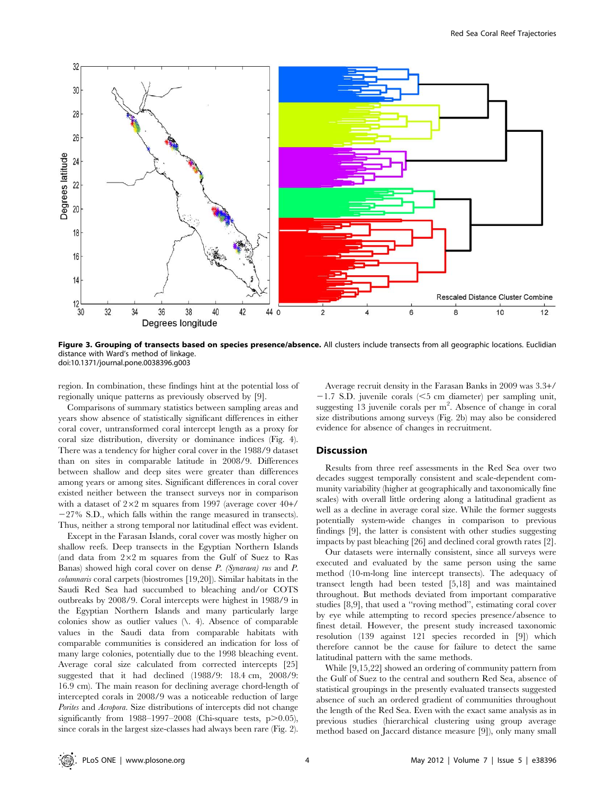

Figure 3. Grouping of transects based on species presence/absence. All clusters include transects from all geographic locations. Euclidian distance with Ward's method of linkage. doi:10.1371/journal.pone.0038396.g003

region. In combination, these findings hint at the potential loss of regionally unique patterns as previously observed by [9].

Comparisons of summary statistics between sampling areas and years show absence of statistically significant differences in either coral cover, untransformed coral intercept length as a proxy for coral size distribution, diversity or dominance indices (Fig. 4). There was a tendency for higher coral cover in the 1988/9 dataset than on sites in comparable latitude in 2008/9. Differences between shallow and deep sites were greater than differences among years or among sites. Significant differences in coral cover existed neither between the transect surveys nor in comparison with a dataset of  $2\times2$  m squares from 1997 (average cover  $40+/$  $-27\%$  S.D., which falls within the range measured in transects). Thus, neither a strong temporal nor latitudinal effect was evident.

Except in the Farasan Islands, coral cover was mostly higher on shallow reefs. Deep transects in the Egyptian Northern Islands (and data from  $2\times2$  m squares from the Gulf of Suez to Ras Banas) showed high coral cover on dense P. (Synaraea) rus and P. columnaris coral carpets (biostromes [19,20]). Similar habitats in the Saudi Red Sea had succumbed to bleaching and/or COTS outbreaks by 2008/9. Coral intercepts were highest in 1988/9 in the Egyptian Northern Islands and many particularly large colonies show as outlier values  $(\lambda, 4)$ . Absence of comparable values in the Saudi data from comparable habitats with comparable communities is considered an indication for loss of many large colonies, potentially due to the 1998 bleaching event. Average coral size calculated from corrected intercepts [25] suggested that it had declined (1988/9: 18.4 cm, 2008/9: 16.9 cm). The main reason for declining average chord-length of intercepted corals in 2008/9 was a noticeable reduction of large Porites and Acropora. Size distributions of intercepts did not change significantly from  $1988-1997-2008$  (Chi-square tests, p $>0.05$ ), since corals in the largest size-classes had always been rare (Fig. 2).

Average recruit density in the Farasan Banks in 2009 was 3.3+/  $-1.7$  S.D. juvenile corals ( $\leq$ 5 cm diameter) per sampling unit, suggesting  $13$  juvenile corals per m<sup>2</sup>. Absence of change in coral size distributions among surveys (Fig. 2b) may also be considered evidence for absence of changes in recruitment.

#### **Discussion**

Results from three reef assessments in the Red Sea over two decades suggest temporally consistent and scale-dependent community variability (higher at geographically and taxonomically fine scales) with overall little ordering along a latitudinal gradient as well as a decline in average coral size. While the former suggests potentially system-wide changes in comparison to previous findings [9], the latter is consistent with other studies suggesting impacts by past bleaching [26] and declined coral growth rates [2].

Our datasets were internally consistent, since all surveys were executed and evaluated by the same person using the same method (10-m-long line intercept transects). The adequacy of transect length had been tested [5,18] and was maintained throughout. But methods deviated from important comparative studies [8,9], that used a ''roving method'', estimating coral cover by eye while attempting to record species presence/absence to finest detail. However, the present study increased taxonomic resolution (139 against 121 species recorded in [9]) which therefore cannot be the cause for failure to detect the same latitudinal pattern with the same methods.

While [9,15,22] showed an ordering of community pattern from the Gulf of Suez to the central and southern Red Sea, absence of statistical groupings in the presently evaluated transects suggested absence of such an ordered gradient of communities throughout the length of the Red Sea. Even with the exact same analysis as in previous studies (hierarchical clustering using group average method based on Jaccard distance measure [9]), only many small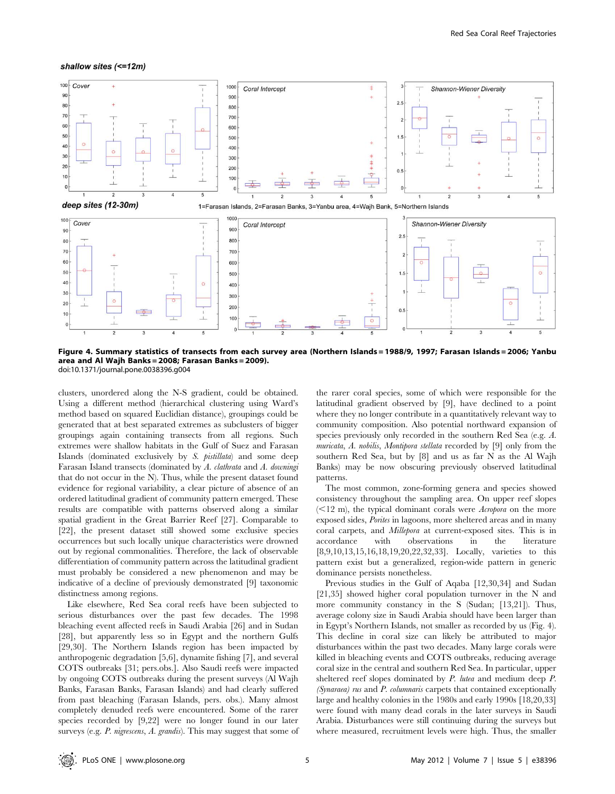#### shallow sites (<=12m)



Figure 4. Summary statistics of transects from each survey area (Northern Islands = 1988/9, 1997; Farasan Islands = 2006; Yanbu area and Al Wajh Banks = 2008; Farasan Banks = 2009). doi:10.1371/journal.pone.0038396.g004

clusters, unordered along the N-S gradient, could be obtained. Using a different method (hierarchical clustering using Ward's method based on squared Euclidian distance), groupings could be generated that at best separated extremes as subclusters of bigger groupings again containing transects from all regions. Such extremes were shallow habitats in the Gulf of Suez and Farasan Islands (dominated exclusively by S. pistillata) and some deep Farasan Island transects (dominated by A. clathrata and A. downingi that do not occur in the N). Thus, while the present dataset found evidence for regional variability, a clear picture of absence of an ordered latitudinal gradient of community pattern emerged. These results are compatible with patterns observed along a similar spatial gradient in the Great Barrier Reef [27]. Comparable to [22], the present dataset still showed some exclusive species occurrences but such locally unique characteristics were drowned out by regional commonalities. Therefore, the lack of observable differentiation of community pattern across the latitudinal gradient must probably be considered a new phenomenon and may be indicative of a decline of previously demonstrated [9] taxonomic distinctness among regions.

Like elsewhere, Red Sea coral reefs have been subjected to serious disturbances over the past few decades. The 1998 bleaching event affected reefs in Saudi Arabia [26] and in Sudan [28], but apparently less so in Egypt and the northern Gulfs [29,30]. The Northern Islands region has been impacted by anthropogenic degradation [5,6], dynamite fishing [7], and several COTS outbreaks [31; pers.obs.]. Also Saudi reefs were impacted by ongoing COTS outbreaks during the present surveys (Al Wajh Banks, Farasan Banks, Farasan Islands) and had clearly suffered from past bleaching (Farasan Islands, pers. obs.). Many almost completely denuded reefs were encountered. Some of the rarer species recorded by [9,22] were no longer found in our later surveys (e.g. P. nigrescens, A. grandis). This may suggest that some of the rarer coral species, some of which were responsible for the latitudinal gradient observed by [9], have declined to a point where they no longer contribute in a quantitatively relevant way to community composition. Also potential northward expansion of species previously only recorded in the southern Red Sea (e.g. A. muricata, A. nobilis, Montipora stellata recorded by [9] only from the southern Red Sea, but by [8] and us as far N as the Al Wajh Banks) may be now obscuring previously observed latitudinal patterns.

The most common, zone-forming genera and species showed consistency throughout the sampling area. On upper reef slopes  $($   $\leq$ 12 m), the typical dominant corals were *Acropora* on the more exposed sides, *Porites* in lagoons, more sheltered areas and in many coral carpets, and Millepora at current-exposed sites. This is in accordance with observations in the literature [8,9,10,13,15,16,18,19,20,22,32,33]. Locally, varieties to this pattern exist but a generalized, region-wide pattern in generic dominance persists nonetheless.

Previous studies in the Gulf of Aqaba [12,30,34] and Sudan [21,35] showed higher coral population turnover in the N and more community constancy in the S (Sudan; [13,21]). Thus, average colony size in Saudi Arabia should have been larger than in Egypt's Northern Islands, not smaller as recorded by us (Fig. 4). This decline in coral size can likely be attributed to major disturbances within the past two decades. Many large corals were killed in bleaching events and COTS outbreaks, reducing average coral size in the central and southern Red Sea. In particular, upper sheltered reef slopes dominated by P. lutea and medium deep P. (Synaraea) rus and P. columnaris carpets that contained exceptionally large and healthy colonies in the 1980s and early 1990s [18,20,33] were found with many dead corals in the later surveys in Saudi Arabia. Disturbances were still continuing during the surveys but where measured, recruitment levels were high. Thus, the smaller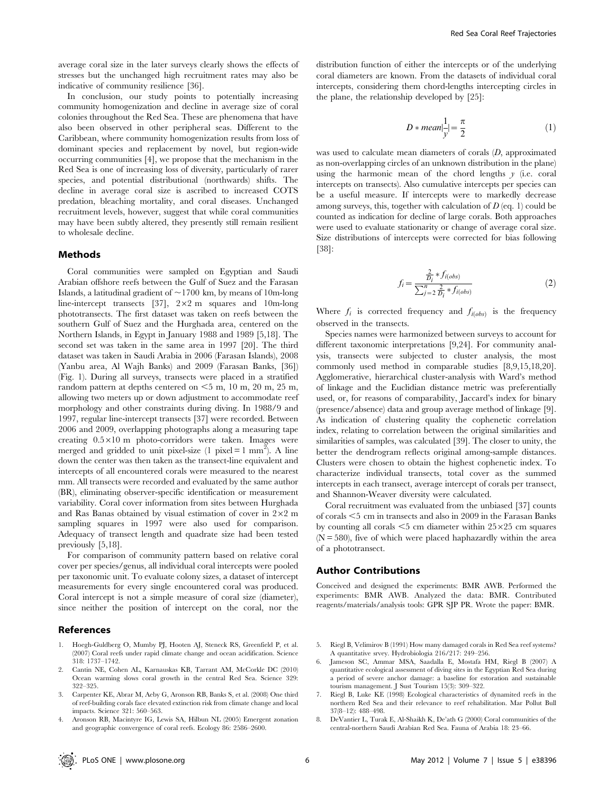average coral size in the later surveys clearly shows the effects of stresses but the unchanged high recruitment rates may also be indicative of community resilience [36].

In conclusion, our study points to potentially increasing community homogenization and decline in average size of coral colonies throughout the Red Sea. These are phenomena that have also been observed in other peripheral seas. Different to the Caribbean, where community homogenization results from loss of dominant species and replacement by novel, but region-wide occurring communities [4], we propose that the mechanism in the Red Sea is one of increasing loss of diversity, particularly of rarer species, and potential distributional (northwards) shifts. The decline in average coral size is ascribed to increased COTS predation, bleaching mortality, and coral diseases. Unchanged recruitment levels, however, suggest that while coral communities may have been subtly altered, they presently still remain resilient to wholesale decline.

#### Methods

Coral communities were sampled on Egyptian and Saudi Arabian offshore reefs between the Gulf of Suez and the Farasan Islands, a latitudinal gradient of  $\sim$ 1700 km, by means of 10m-long line-intercept transects [37],  $2 \times 2$  m squares and 10m-long phototransects. The first dataset was taken on reefs between the southern Gulf of Suez and the Hurghada area, centered on the Northern Islands, in Egypt in January 1988 and 1989 [5,18]. The second set was taken in the same area in 1997 [20]. The third dataset was taken in Saudi Arabia in 2006 (Farasan Islands), 2008 (Yanbu area, Al Wajh Banks) and 2009 (Farasan Banks, [36]) (Fig. 1). During all surveys, transects were placed in a stratified random pattern at depths centered on  $\leq$ 5 m, 10 m, 20 m, 25 m, allowing two meters up or down adjustment to accommodate reef morphology and other constraints during diving. In 1988/9 and 1997, regular line-intercept transects [37] were recorded. Between 2006 and 2009, overlapping photographs along a measuring tape creating  $0.5 \times 10$  m photo-corridors were taken. Images were merged and gridded to unit pixel-size (1 pixel = 1 mm<sup>2</sup>). A line down the center was then taken as the transect-line equivalent and intercepts of all encountered corals were measured to the nearest mm. All transects were recorded and evaluated by the same author (BR), eliminating observer-specific identification or measurement variability. Coral cover information from sites between Hurghada and Ras Banas obtained by visual estimation of cover in  $2\times2$  m sampling squares in 1997 were also used for comparison. Adequacy of transect length and quadrate size had been tested previously [5,18].

For comparison of community pattern based on relative coral cover per species/genus, all individual coral intercepts were pooled per taxonomic unit. To evaluate colony sizes, a dataset of intercept measurements for every single encountered coral was produced. Coral intercept is not a simple measure of coral size (diameter), since neither the position of intercept on the coral, nor the

#### References

- 1. Hoegh-Guldberg O, Mumby PJ, Hooten AJ, Steneck RS, Greenfield P, et al. (2007) Coral reefs under rapid climate change and ocean acidification. Science 318: 1737–1742.
- 2. Cantin NE, Cohen AL, Karnauskas KB, Tarrant AM, McCorkle DC (2010) Ocean warming slows coral growth in the central Red Sea. Science 329: 322–325.
- 3. Carpenter KE, Abrar M, Aeby G, Aronson RB, Banks S, et al. (2008) One third of reef-building corals face elevated extinction risk from climate change and local impacts. Science 321: 560–563.
- 4. Aronson RB, Macintyre IG, Lewis SA, Hilbun NL (2005) Emergent zonation and geographic convergence of coral reefs. Ecology 86: 2586–2600.

distribution function of either the intercepts or of the underlying coral diameters are known. From the datasets of individual coral intercepts, considering them chord-lengths intercepting circles in the plane, the relationship developed by [25]:

$$
D * mean\left|\frac{1}{y}\right| = \frac{\pi}{2}
$$
 (1)

was used to calculate mean diameters of corals (D, approximated as non-overlapping circles of an unknown distribution in the plane) using the harmonic mean of the chord lengths  $y$  (i.e. coral intercepts on transects). Also cumulative intercepts per species can be a useful measure. If intercepts were to markedly decrease among surveys, this, together with calculation of  $D$  (eq. 1) could be counted as indication for decline of large corals. Both approaches were used to evaluate stationarity or change of average coral size. Size distributions of intercepts were corrected for bias following [38]:

$$
f_i = \frac{\frac{2}{D_i} * f_{i(obs)}}{\sum_{j=2}^{n} \frac{2}{D_i} * f_{i(obs)}}\tag{2}
$$

Where  $f_i$  is corrected frequency and  $f_i_{(obs)}$  is the frequency observed in the transects.

Species names were harmonized between surveys to account for different taxonomic interpretations [9,24]. For community analysis, transects were subjected to cluster analysis, the most commonly used method in comparable studies [8,9,15,18,20]. Agglomerative, hierarchical cluster-analysis with Ward's method of linkage and the Euclidian distance metric was preferentially used, or, for reasons of comparability, Jaccard's index for binary (presence/absence) data and group average method of linkage [9]. As indication of clustering quality the cophenetic correlation index, relating to correlation between the original similarities and similarities of samples, was calculated [39]. The closer to unity, the better the dendrogram reflects original among-sample distances. Clusters were chosen to obtain the highest cophenetic index. To characterize individual transects, total cover as the summed intercepts in each transect, average intercept of corals per transect, and Shannon-Weaver diversity were calculated.

Coral recruitment was evaluated from the unbiased [37] counts of corals ,5 cm in transects and also in 2009 in the Farasan Banks by counting all corals  $\leq$ 5 cm diameter within 25 $\times$ 25 cm squares  $(N = 580)$ , five of which were placed haphazardly within the area of a phototransect.

#### Author Contributions

Conceived and designed the experiments: BMR AWB. Performed the experiments: BMR AWB. Analyzed the data: BMR. Contributed reagents/materials/analysis tools: GPR SJP PR. Wrote the paper: BMR.

- 5. Riegl B, Velimirov B (1991) How many damaged corals in Red Sea reef systems? A quantitative srvey. Hydrobiologia 216/217: 249–256.
- Jameson SC, Ammar MSA, Saadalla E, Mostafa HM, Riegl B (2007) A quantitative ecological assessment of diving sites in the Egyptian Red Sea during a period of severe anchor damage: a baseline for estoration and sustainable tourism management. J Sust Tourism 15(3): 309–322.
- 7. Riegl B, Luke KE (1998) Ecological characteristics of dynamited reefs in the northern Red Sea and their relevance to reef rehabilitation. Mar Pollut Bull 37(8–12): 488–498.
- 8. DeVantier L, Turak E, Al-Shaikh K, De'ath G (2000) Coral communities of the central-northern Saudi Arabian Red Sea. Fauna of Arabia 18: 23–66.